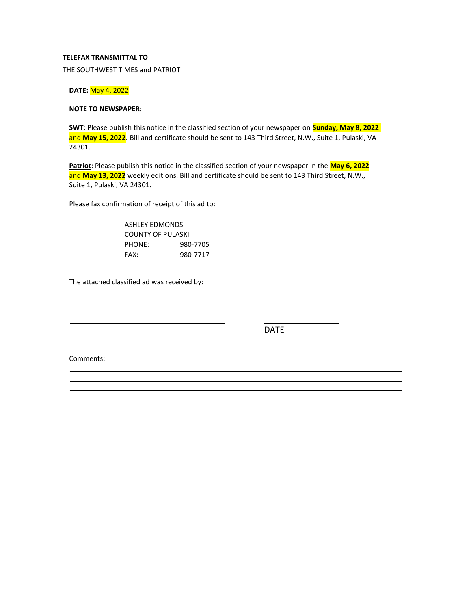### **TELEFAX TRANSMITTAL TO**:

THE SOUTHWEST TIMES and PATRIOT

#### **DATE:** May 4, 2022

#### **NOTE TO NEWSPAPER**:

**SWT**: Please publish this notice in the classified section of your newspaper on **Sunday, May 8, 2022**  and **May 15, 2022**. Bill and certificate should be sent to 143 Third Street, N.W., Suite 1, Pulaski, VA 24301.

**Patriot**: Please publish this notice in the classified section of your newspaper in the **May 6, 2022**  and **May 13, 2022** weekly editions. Bill and certificate should be sent to 143 Third Street, N.W., Suite 1, Pulaski, VA 24301.

Please fax confirmation of receipt of this ad to:

ASHLEY EDMONDS COUNTY OF PULASKI PHONE: 980-7705 FAX: 980-7717

The attached classified ad was received by:

DATE

Comments: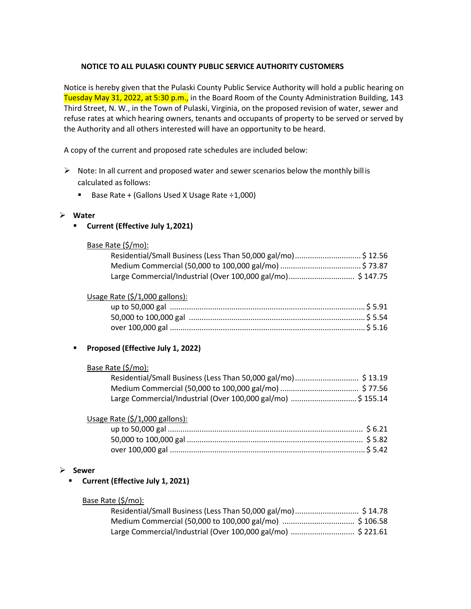# **NOTICE TO ALL PULASKI COUNTY PUBLIC SERVICE AUTHORITY CUSTOMERS**

Notice is hereby given that the Pulaski County Public Service Authority will hold a public hearing on Tuesday May 31, 2022, at 5:30 p.m., in the Board Room of the County Administration Building, 143 Third Street, N. W., in the Town of Pulaski, Virginia, on the proposed revision of water, sewer and refuse rates at which hearing owners, tenants and occupants of property to be served or served by the Authority and all others interested will have an opportunity to be heard.

A copy of the current and proposed rate schedules are included below:

- $\triangleright$  Note: In all current and proposed water and sewer scenarios below the monthly bill is calculated as follows:
	- Base Rate + (Gallons Used X Usage Rate  $\div$ 1,000)

# ➢ **Water**

▪ **Current (Effective July 1, 2021)** 

# Base Rate (\$/mo):

| Residential/Small Business (Less Than 50,000 gal/mo) \$ 12.56 |  |
|---------------------------------------------------------------|--|
|                                                               |  |
| Large Commercial/Industrial (Over 100,000 gal/mo) \$147.75    |  |

### Usage Rate (\$/1,000 gallons):

# ▪ **Proposed (Effective July 1, 2022)**

### Base Rate (\$/mo):

| Residential/Small Business (Less Than 50,000 gal/mo) \$13.19 |  |
|--------------------------------------------------------------|--|
|                                                              |  |
| Large Commercial/Industrial (Over 100,000 gal/mo) \$ 155.14  |  |

### Usage Rate (\$/1,000 gallons):

### ➢ **Sewer**

# ▪ **Current (Effective July 1, 2021)**

# Base Rate (\$/mo):

| Large Commercial/Industrial (Over 100,000 gal/mo)  \$ 221.61 |  |
|--------------------------------------------------------------|--|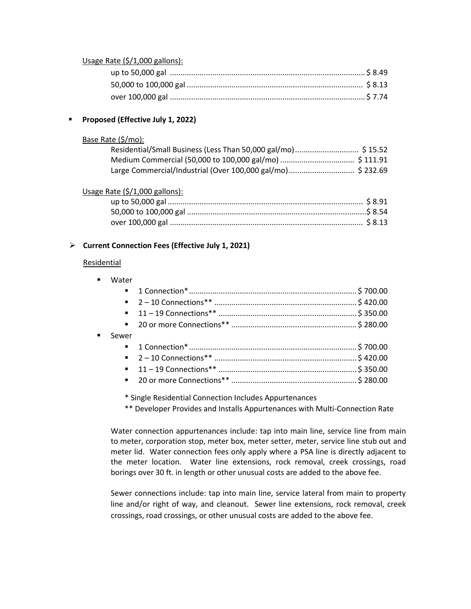### Usage Rate (\$/1,000 gallons):

# ▪ **Proposed (Effective July 1, 2022)**

### Base Rate (\$/mo):

| Residential/Small Business (Less Than 50,000 gal/mo) \$ 15.52 |  |
|---------------------------------------------------------------|--|
|                                                               |  |
|                                                               |  |

# Usage Rate (\$/1,000 gallons):

# ➢ **Current Connection Fees (Effective July 1, 2021)**

### Residential

| $\blacksquare$ | Water                       |  |
|----------------|-----------------------------|--|
|                | $\mathbf{m}$ , $\mathbf{m}$ |  |
|                |                             |  |
|                |                             |  |
|                |                             |  |
| $\blacksquare$ | Sewer                       |  |
|                |                             |  |
|                |                             |  |
|                |                             |  |
|                |                             |  |
|                |                             |  |

\* Single Residential Connection Includes Appurtenances

\*\* Developer Provides and Installs Appurtenances with Multi-Connection Rate

Water connection appurtenances include: tap into main line, service line from main to meter, corporation stop, meter box, meter setter, meter, service line stub out and meter lid. Water connection fees only apply where a PSA line is directly adjacent to the meter location. Water line extensions, rock removal, creek crossings, road borings over 30 ft. in length or other unusual costs are added to the above fee.

Sewer connections include: tap into main line, service lateral from main to property line and/or right of way, and cleanout. Sewer line extensions, rock removal, creek crossings, road crossings, or other unusual costs are added to the above fee.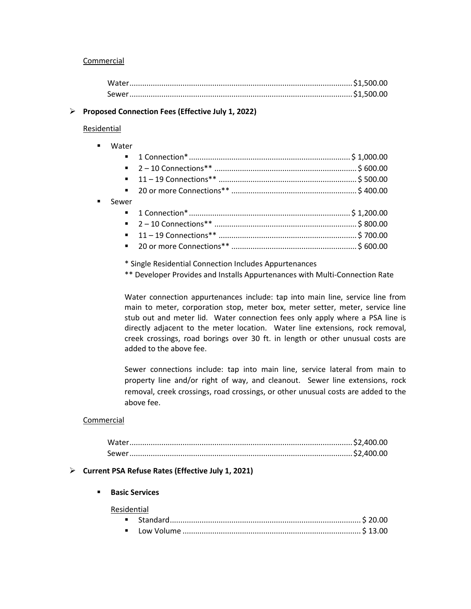### Commercial

### ➢ **Proposed Connection Fees (Effective July 1, 2022)**

### Residential

| $\blacksquare$ | Water |  |
|----------------|-------|--|
|                |       |  |
|                |       |  |
|                |       |  |
|                |       |  |
| ٠              | Sewer |  |
|                |       |  |
|                |       |  |
|                |       |  |
|                |       |  |

\* Single Residential Connection Includes Appurtenances

\*\* Developer Provides and Installs Appurtenances with Multi-Connection Rate

Water connection appurtenances include: tap into main line, service line from main to meter, corporation stop, meter box, meter setter, meter, service line stub out and meter lid. Water connection fees only apply where a PSA line is directly adjacent to the meter location. Water line extensions, rock removal, creek crossings, road borings over 30 ft. in length or other unusual costs are added to the above fee.

Sewer connections include: tap into main line, service lateral from main to property line and/or right of way, and cleanout. Sewer line extensions, rock removal, creek crossings, road crossings, or other unusual costs are added to the above fee.

### Commercial

### ➢ **Current PSA Refuse Rates (Effective July 1, 2021)**

#### ▪ **Basic Services**

#### Residential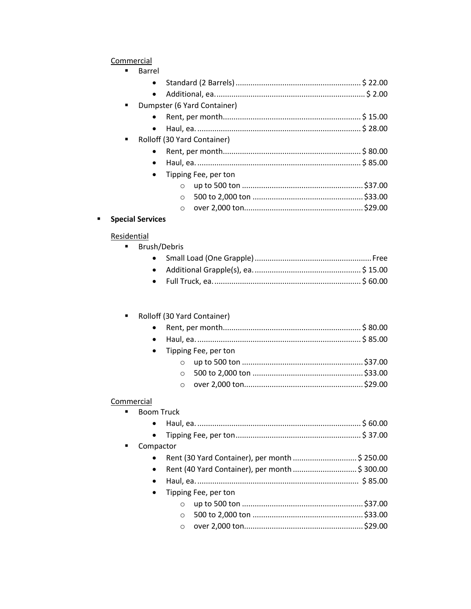# Commercial

|                      | Barrel |                             |  |
|----------------------|--------|-----------------------------|--|
|                      |        |                             |  |
|                      |        |                             |  |
| ٠                    |        | Dumpster (6 Yard Container) |  |
|                      |        |                             |  |
|                      |        |                             |  |
| $\blacksquare$       |        | Rolloff (30 Yard Container) |  |
|                      |        |                             |  |
|                      |        |                             |  |
| Tipping Fee, per ton |        |                             |  |
|                      |        |                             |  |
|                      |        | $\circ$                     |  |
|                      |        |                             |  |

# **Special Services**

# Residential

**Brush/Debris** 

# Rolloff (30 Yard Container)

| • Tipping Fee, per ton |  |  |
|------------------------|--|--|
|                        |  |  |
|                        |  |  |
|                        |  |  |

# Commercial

 $\blacksquare$ 

| $\blacksquare$              | <b>Boom Truck</b> |                      |  |
|-----------------------------|-------------------|----------------------|--|
|                             | $\bullet$         |                      |  |
|                             | $\bullet$         |                      |  |
| Compactor<br>$\blacksquare$ |                   |                      |  |
|                             |                   |                      |  |
|                             | $\bullet$         |                      |  |
|                             | $\bullet$         |                      |  |
|                             | $\bullet$         | Tipping Fee, per ton |  |
|                             |                   | $\circ$              |  |
|                             |                   | $\bigcirc$           |  |
|                             |                   | $\circ$              |  |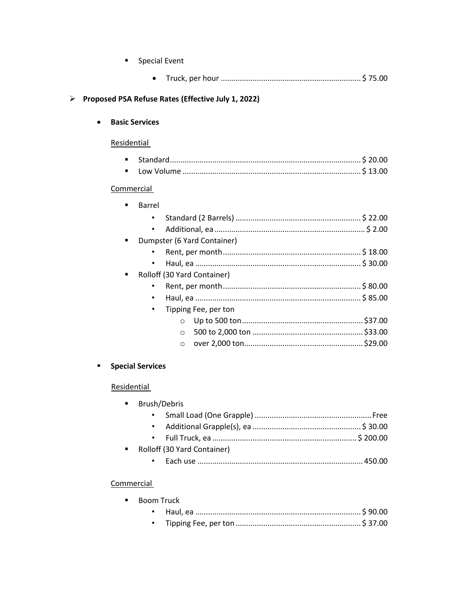| <b>Special Event</b><br>$\blacksquare$                                                                                                                                                                                    |
|---------------------------------------------------------------------------------------------------------------------------------------------------------------------------------------------------------------------------|
|                                                                                                                                                                                                                           |
| Proposed PSA Refuse Rates (Effective July 1, 2022)                                                                                                                                                                        |
| <b>Basic Services</b>                                                                                                                                                                                                     |
| Residential                                                                                                                                                                                                               |
| $\blacksquare$<br>$\blacksquare$                                                                                                                                                                                          |
| <b>Commercial</b>                                                                                                                                                                                                         |
| <b>Barrel</b><br>п<br>$\bullet$<br>$\bullet$<br>Dumpster (6 Yard Container)<br>$\blacksquare$<br>٠<br>Rolloff (30 Yard Container)<br>$\bullet$<br>٠<br>Tipping Fee, per ton<br>$\bullet$<br>$\circ$<br>$\circ$<br>$\circ$ |
| <b>Special Services</b>                                                                                                                                                                                                   |
| Residential                                                                                                                                                                                                               |
| Brush/Debris<br>$\bullet$<br>$\bullet$<br>Rolloff (30 Yard Container)<br>Commercial                                                                                                                                       |

 $\blacktriangleright$ 

 $\blacksquare$ 

| Boom Truck |  |
|------------|--|
|            |  |
|            |  |